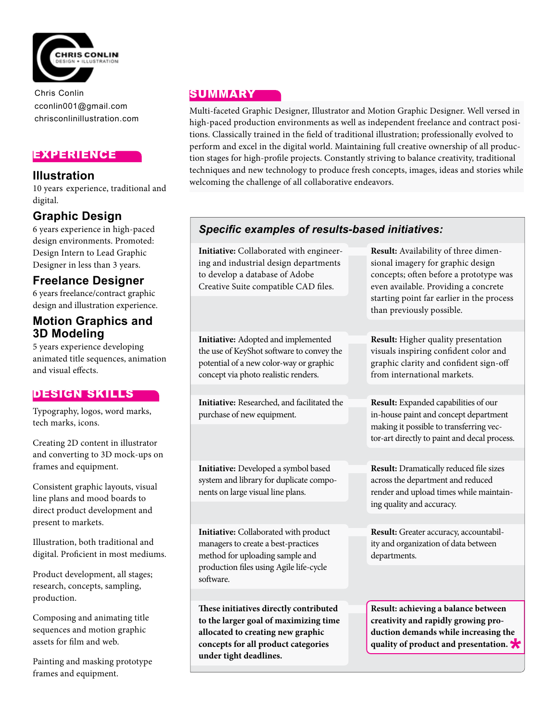

Chris Conlin cconlin001@gmail.com chrisconlinillustration.com

## EXPERIENCE

#### **Illustration**

10 years experience, traditional and digital.

# **Graphic Design**

6 years experience in high-paced design environments. Promoted: Design Intern to Lead Graphic Designer in less than 3 years.

## **Freelance Designer**

6 years freelance/contract graphic design and illustration experience.

## **Motion Graphics and 3D Modeling**

5 years experience developing animated title sequences, animation and visual effects.

#### DESIGN SKILLS

Typography, logos, word marks, tech marks, icons.

Creating 2D content in illustrator and converting to 3D mock-ups on frames and equipment.

Consistent graphic layouts, visual line plans and mood boards to direct product development and present to markets.

Illustration, both traditional and digital. Proficient in most mediums.

Product development, all stages; research, concepts, sampling, production.

Composing and animating title sequences and motion graphic assets for film and web.

Painting and masking prototype frames and equipment.

#### SUMMARY

Multi-faceted Graphic Designer, Illustrator and Motion Graphic Designer. Well versed in high-paced production environments as well as independent freelance and contract positions. Classically trained in the field of traditional illustration; professionally evolved to perform and excel in the digital world. Maintaining full creative ownership of all production stages for high-profile projects. Constantly striving to balance creativity, traditional techniques and new technology to produce fresh concepts, images, ideas and stories while welcoming the challenge of all collaborative endeavors.

## *Specific examples of results-based initiatives:*

**Initiative:** Collaborated with engineering and industrial design departments to develop a database of Adobe Creative Suite compatible CAD files.

**Initiative:** Adopted and implemented the use of KeyShot software to convey the potential of a new color-way or graphic concept via photo realistic renders.

**Initiative:** Researched, and facilitated the purchase of new equipment.

**Initiative:** Developed a symbol based system and library for duplicate components on large visual line plans.

**Initiative:** Collaborated with product managers to create a best-practices method for uploading sample and production files using Agile life-cycle software.

**These initiatives directly contributed to the larger goal of maximizing time allocated to creating new graphic concepts for all product categories under tight deadlines.** 

**Result:** Availability of three dimensional imagery for graphic design concepts; often before a prototype was even available. Providing a concrete starting point far earlier in the process than previously possible.

**Result:** Higher quality presentation visuals inspiring confident color and graphic clarity and confident sign-off from international markets.

**Result:** Expanded capabilities of our in-house paint and concept department making it possible to transferring vector-art directly to paint and decal process.

**Result:** Dramatically reduced file sizes across the department and reduced render and upload times while maintaining quality and accuracy.

**Result:** Greater accuracy, accountability and organization of data between departments.

**Result: achieving a balance between creativity and rapidly growing production demands while increasing the quality of product and presentation.**  *\**